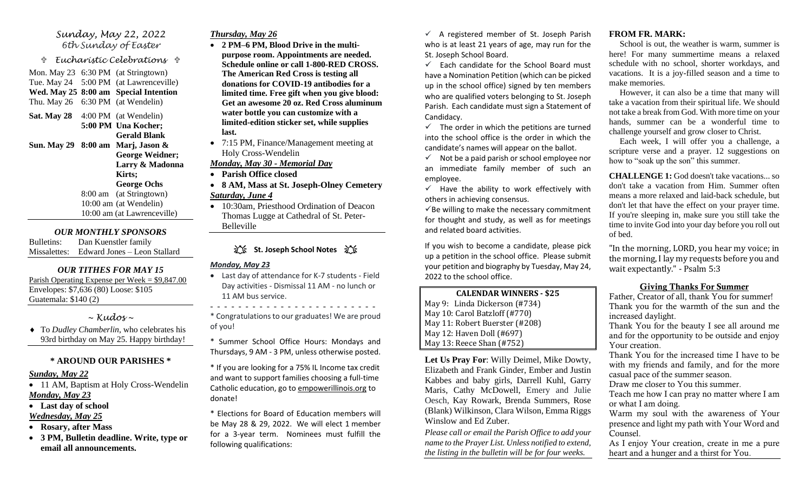### *Sunday, May 22, 2022 6th Sunday of Easter*

 *Eucharistic Celebrations* 

Mon. May 23 6:30 PM (at Stringtown) Tue. May 24 5:00 PM (at Lawrenceville) **Wed. May 25 8:00 am Special Intention** Thu. May 26 6:30 PM (at Wendelin)

**Sat. May 28** 4:00 PM (at Wendelin) **5:00 PM Una Kocher; Gerald Blank Sun. May 29 8:00 am Marj, Jason & George Weidner; Larry & Madonna Kirts; George Ochs** 8:00 am (at Stringtown)

10:00 am (at Wendelin) 10:00 am (at Lawrenceville)

#### *OUR MONTHLY SPONSORS*

Bulletins: Dan Kuenstler family Missalettes: Edward Jones – Leon Stallard

### *OUR TITHES FOR MAY 15*

Parish Operating Expense per Week = \$9,847.00 Envelopes: \$7,636 (80) Loose: \$105 Guatemala: \$140 (2)

## *~ Kudos ~*

 To *Dudley Chamberlin*, who celebrates his 93rd birthday on May 25. Happy birthday!

## **\* AROUND OUR PARISHES \***

#### *Sunday, May 22*

- 11 AM, Baptism at Holy Cross-Wendelin *Monday, May 23*
- **Last day of school** *Wednesday, May 25*
- **Rosary, after Mass**
- **3 PM, Bulletin deadline. Write, type or email all announcements.**

# *Thursday, May 26*

- **2 PM–6 PM, Blood Drive in the multipurpose room. Appointments are needed. Schedule online or call 1-800-RED CROSS. The American Red Cross is testing all donations for COVID-19 antibodies for a limited time. Free gift when you give blood: Get an awesome 20 oz. Red Cross aluminum water bottle you can customize with a limited-edition sticker set, while supplies last.**
- 7:15 PM, Finance/Management meeting at Holy Cross-Wendelin

# *Monday, May 30 - Memorial Day*

- **Parish Office closed**
- **8 AM, Mass at St. Joseph-Olney Cemetery** *Saturday, June 4*
- 10:30am, Priesthood Ordination of Deacon Thomas Lugge at Cathedral of St. Peter-Belleville

# **江、St. Joseph School Notes** 江、

### *Monday, May 23*

• Last day of attendance for K-7 students - Field Day activities - Dismissal 11 AM - no lunch or 11 AM bus service.

\* Congratulations to our graduates! We are proud of you!

- - - - - - - - - - - - - - - - - - - - - - - -

- \* Summer School Office Hours: Mondays and Thursdays, 9 AM - 3 PM, unless otherwise posted.
- \* If you are looking for a 75% IL Income tax credit and want to support families choosing a full-time Catholic education, go to [empowerillinois.org](http://empowerillinois.org/) to donate!

\* Elections for Board of Education members will be May 28 & 29, 2022. We will elect 1 member for a 3-year term. Nominees must fulfill the following qualifications:

 $\checkmark$  A registered member of St. Joseph Parish who is at least 21 years of age, may run for the St. Joseph School Board.

 $\checkmark$  Each candidate for the School Board must have a Nomination Petition (which can be picked up in the school office) signed by ten members who are qualified voters belonging to St. Joseph Parish. Each candidate must sign a Statement of Candidacy.

 $\checkmark$  The order in which the petitions are turned into the school office is the order in which the candidate's names will appear on the ballot.

 $\checkmark$  Not be a paid parish or school employee nor an immediate family member of such an employee.

 $\checkmark$  Have the ability to work effectively with others in achieving consensus.

 $\checkmark$ Be willing to make the necessary commitment for thought and study, as well as for meetings and related board activities.

If you wish to become a candidate, please pick up a petition in the school office. Please submit your petition and biography by Tuesday, May 24, 2022 to the school office.

#### **CALENDAR WINNERS - \$25**

| May 9: Linda Dickerson (#734)  |
|--------------------------------|
| May 10: Carol Batzloff (#770)  |
| May 11: Robert Buerster (#208) |
| May 12: Haven Doll (#697)      |
| May 13: Reece Shan (#752)      |

**Let Us Pray For**: Willy Deimel, Mike Dowty, Elizabeth and Frank Ginder, Ember and Justin Kabbes and baby girls, Darrell Kuhl, Garry Maris, Cathy McDowell, Emery and Julie Oesch, Kay Rowark, Brenda Summers, Rose (Blank) Wilkinson, Clara Wilson, Emma Riggs Winslow and Ed Zuber.

*Please call or email the Parish Office to add your name to the Prayer List. Unless notified to extend, the listing in the bulletin will be for four weeks.*

### **FROM FR. MARK:**

 School is out, the weather is warm, summer is here! For many summertime means a relaxed schedule with no school, shorter workdays, and vacations. It is a joy-filled season and a time to make memories.

 However, it can also be a time that many will take a vacation from their spiritual life. We should not take a break from God. With more time on your hands, summer can be a wonderful time to challenge yourself and grow closer to Christ.

 Each week, I will offer you a challenge, a scripture verse and a prayer. 12 suggestions on how to "soak up the son" this summer.

**CHALLENGE 1:** God doesn't take vacations... so don't take a vacation from Him. Summer often means a more relaxed and laid-back schedule, but don't let that have the effect on your prayer time. If you're sleeping in, make sure you still take the time to invite God into your day before you roll out of bed.

"In the morning, LORD, you hear my voice; in the morning, I lay my requests before you and wait expectantly." - Psalm 5:3

### **Giving Thanks For Summer**

Father, Creator of all, thank You for summer! Thank you for the warmth of the sun and the increased daylight.

Thank You for the beauty I see all around me and for the opportunity to be outside and enjoy Your creation.

Thank You for the increased time I have to be with my friends and family, and for the more casual pace of the summer season.

Draw me closer to You this summer.

Teach me how I can pray no matter where I am or what I am doing.

Warm my soul with the awareness of Your presence and light my path with Your Word and Counsel.

As I enjoy Your creation, create in me a pure heart and a hunger and a thirst for You.